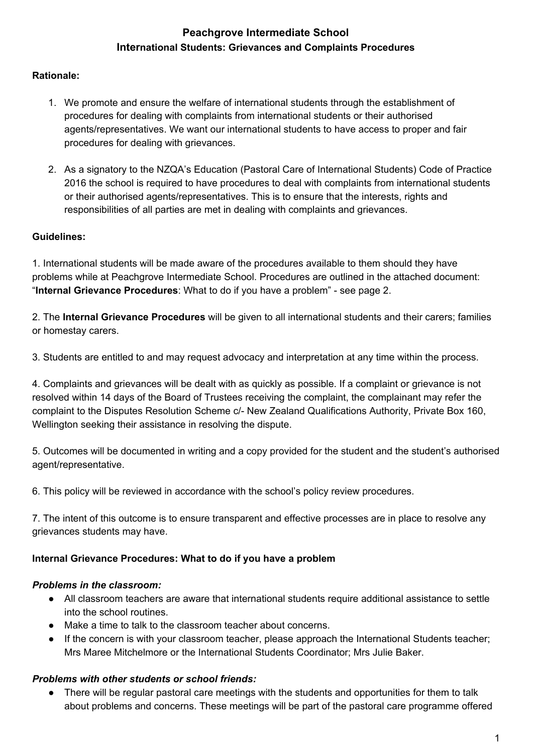# **Peachgrove Intermediate School International Students: Grievances and Complaints Procedures**

### **Rationale:**

- 1. We promote and ensure the welfare of international students through the establishment of procedures for dealing with complaints from international students or their authorised agents/representatives. We want our international students to have access to proper and fair procedures for dealing with grievances.
- 2. As a signatory to the NZQA's Education (Pastoral Care of International Students) Code of Practice 2016 the school is required to have procedures to deal with complaints from international students or their authorised agents/representatives. This is to ensure that the interests, rights and responsibilities of all parties are met in dealing with complaints and grievances.

#### **Guidelines:**

1. International students will be made aware of the procedures available to them should they have problems while at Peachgrove Intermediate School. Procedures are outlined in the attached document: "**Internal Grievance Procedures**: What to do if you have a problem" - see page 2.

2. The **Internal Grievance Procedures** will be given to all international students and their carers; families or homestay carers.

3. Students are entitled to and may request advocacy and interpretation at any time within the process.

4. Complaints and grievances will be dealt with as quickly as possible. If a complaint or grievance is not resolved within 14 days of the Board of Trustees receiving the complaint, the complainant may refer the complaint to the Disputes Resolution Scheme c/- New Zealand Qualifications Authority, Private Box 160, Wellington seeking their assistance in resolving the dispute.

5. Outcomes will be documented in writing and a copy provided for the student and the student's authorised agent/representative.

6. This policy will be reviewed in accordance with the school's policy review procedures.

7. The intent of this outcome is to ensure transparent and effective processes are in place to resolve any grievances students may have.

#### **Internal Grievance Procedures: What to do if you have a problem**

#### *Problems in the classroom:*

- All classroom teachers are aware that international students require additional assistance to settle into the school routines.
- Make a time to talk to the classroom teacher about concerns.
- If the concern is with your classroom teacher, please approach the International Students teacher; Mrs Maree Mitchelmore or the International Students Coordinator; Mrs Julie Baker.

#### *Problems with other students or school friends:*

There will be regular pastoral care meetings with the students and opportunities for them to talk about problems and concerns. These meetings will be part of the pastoral care programme offered